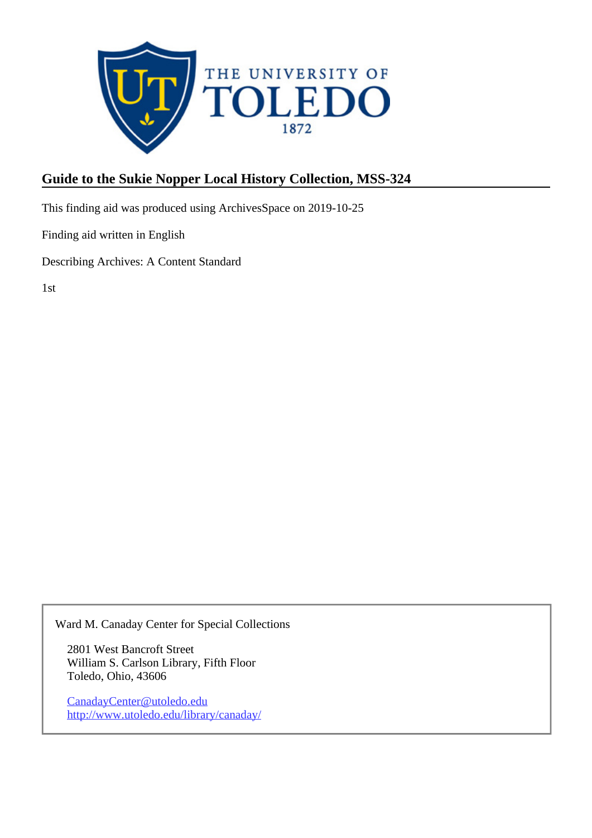

## **Guide to the Sukie Nopper Local History Collection, MSS-324**

This finding aid was produced using ArchivesSpace on 2019-10-25

Finding aid written in English

Describing Archives: A Content Standard

1st

Ward M. Canaday Center for Special Collections

2801 West Bancroft Street William S. Carlson Library, Fifth Floor Toledo, Ohio, 43606

CanadayCenter@utoledo.edu <http://www.utoledo.edu/library/canaday/>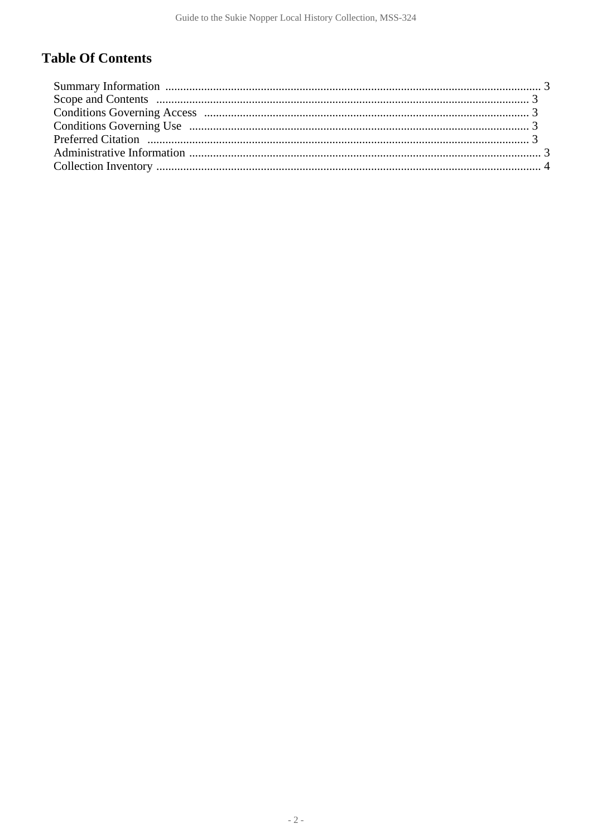# **Table Of Contents**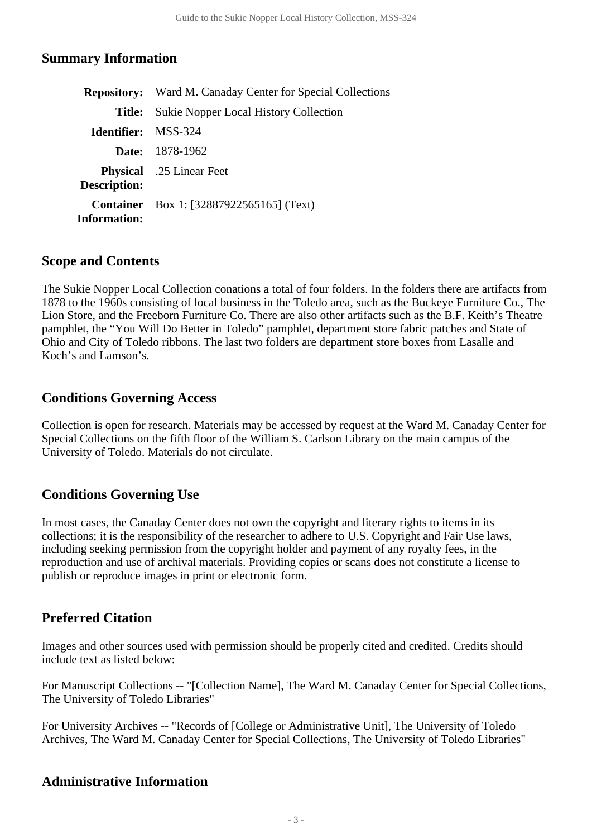### <span id="page-2-0"></span>**Summary Information**

|                            | <b>Repository:</b> Ward M. Canaday Center for Special Collections |  |  |
|----------------------------|-------------------------------------------------------------------|--|--|
| Title:                     | <b>Sukie Nopper Local History Collection</b>                      |  |  |
| <b>Identifier:</b> MSS-324 |                                                                   |  |  |
|                            | <b>Date:</b> 1878-1962                                            |  |  |
| <b>Description:</b>        | <b>Physical</b> .25 Linear Feet                                   |  |  |
| <b>Information:</b>        | <b>Container</b> Box 1: [32887922565165] (Text)                   |  |  |

#### <span id="page-2-1"></span>**Scope and Contents**

The Sukie Nopper Local Collection conations a total of four folders. In the folders there are artifacts from 1878 to the 1960s consisting of local business in the Toledo area, such as the Buckeye Furniture Co., The Lion Store, and the Freeborn Furniture Co. There are also other artifacts such as the B.F. Keith's Theatre pamphlet, the "You Will Do Better in Toledo" pamphlet, department store fabric patches and State of Ohio and City of Toledo ribbons. The last two folders are department store boxes from Lasalle and Koch's and Lamson's.

#### <span id="page-2-2"></span>**Conditions Governing Access**

Collection is open for research. Materials may be accessed by request at the Ward M. Canaday Center for Special Collections on the fifth floor of the William S. Carlson Library on the main campus of the University of Toledo. Materials do not circulate.

## <span id="page-2-3"></span>**Conditions Governing Use**

In most cases, the Canaday Center does not own the copyright and literary rights to items in its collections; it is the responsibility of the researcher to adhere to U.S. Copyright and Fair Use laws, including seeking permission from the copyright holder and payment of any royalty fees, in the reproduction and use of archival materials. Providing copies or scans does not constitute a license to publish or reproduce images in print or electronic form.

## <span id="page-2-4"></span>**Preferred Citation**

Images and other sources used with permission should be properly cited and credited. Credits should include text as listed below:

For Manuscript Collections -- "[Collection Name], The Ward M. Canaday Center for Special Collections, The University of Toledo Libraries"

For University Archives -- "Records of [College or Administrative Unit], The University of Toledo Archives, The Ward M. Canaday Center for Special Collections, The University of Toledo Libraries"

## <span id="page-2-5"></span>**Administrative Information**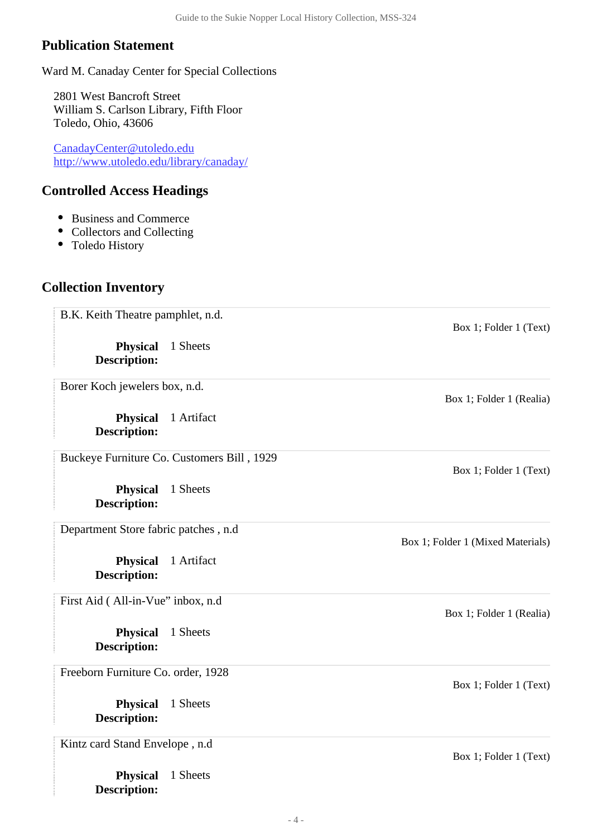## **Publication Statement**

Ward M. Canaday Center for Special Collections

2801 West Bancroft Street William S. Carlson Library, Fifth Floor Toledo, Ohio, 43606

CanadayCenter@utoledo.edu <http://www.utoledo.edu/library/canaday/>

**Physical** 1 Sheets

**Description:**

### **Controlled Access Headings**

- Business and Commerce
- Collectors and Collecting
- Toledo History

## <span id="page-3-0"></span>**Collection Inventory**

**Physical** 1 Sheets **Description: Physical** 1 Sheets **Description: Physical** 1 Artifact **Description: Physical** 1 Sheets **Description: Physical** 1 Artifact **Description: Physical** 1 Sheets **Description:** B.K. Keith Theatre pamphlet, n.d. Box 1; Folder 1 (Text) Borer Koch jewelers box, n.d. Box 1; Folder 1 (Realia) Buckeye Furniture Co. Customers Bill , 1929 Box 1; Folder 1 (Text) Department Store fabric patches , n.d Box 1; Folder 1 (Mixed Materials) First Aid (All-in-Vue" inbox, n.d. Box 1; Folder 1 (Realia) Freeborn Furniture Co. order, 1928 Box 1; Folder 1 (Text) Kintz card Stand Envelope , n.d Box 1; Folder 1 (Text)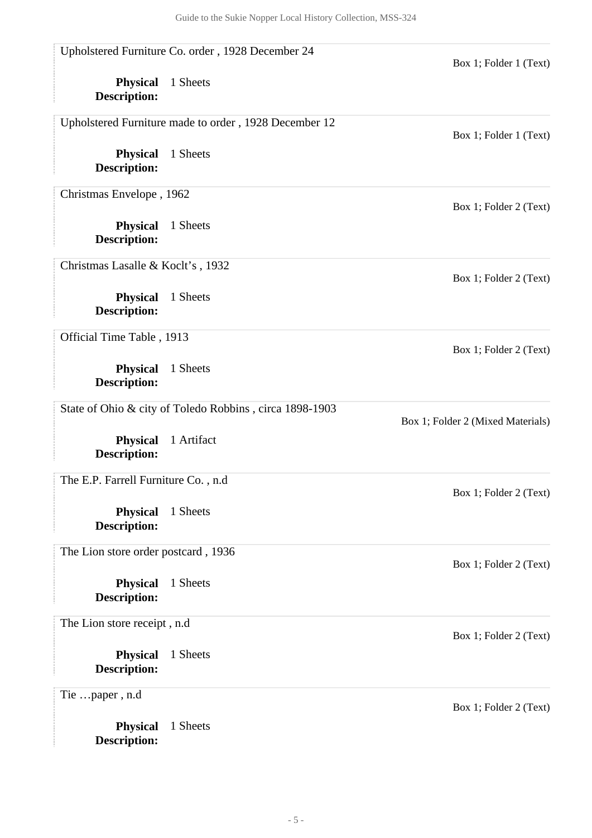|                                        | Upholstered Furniture Co. order, 1928 December 24       | Box 1; Folder 1 (Text)            |
|----------------------------------------|---------------------------------------------------------|-----------------------------------|
| <b>Physical</b><br><b>Description:</b> | 1 Sheets                                                |                                   |
|                                        | Upholstered Furniture made to order, 1928 December 12   | Box 1; Folder 1 (Text)            |
| <b>Physical</b><br><b>Description:</b> | 1 Sheets                                                |                                   |
| Christmas Envelope, 1962               |                                                         | Box 1; Folder 2 (Text)            |
| <b>Physical</b><br><b>Description:</b> | 1 Sheets                                                |                                   |
| Christmas Lasalle & Koclt's, 1932      |                                                         | Box 1; Folder 2 (Text)            |
| <b>Physical</b><br><b>Description:</b> | 1 Sheets                                                |                                   |
| Official Time Table, 1913              |                                                         | Box 1; Folder 2 (Text)            |
| <b>Physical</b><br><b>Description:</b> | 1 Sheets                                                |                                   |
|                                        | State of Ohio & city of Toledo Robbins, circa 1898-1903 | Box 1; Folder 2 (Mixed Materials) |
| <b>Physical</b><br><b>Description:</b> | 1 Artifact                                              |                                   |
| The E.P. Farrell Furniture Co., n.d    |                                                         | Box 1; Folder 2 (Text)            |
| <b>Physical</b><br><b>Description:</b> | 1 Sheets                                                |                                   |
| The Lion store order postcard, 1936    |                                                         | Box 1; Folder 2 (Text)            |
| <b>Physical</b><br><b>Description:</b> | 1 Sheets                                                |                                   |
| The Lion store receipt, n.d            |                                                         | Box 1; Folder 2 (Text)            |
| <b>Physical</b><br><b>Description:</b> | 1 Sheets                                                |                                   |
| Tie paper, n.d                         |                                                         | Box 1; Folder 2 (Text)            |
| <b>Physical</b>                        | 1 Sheets                                                |                                   |

**Description:**